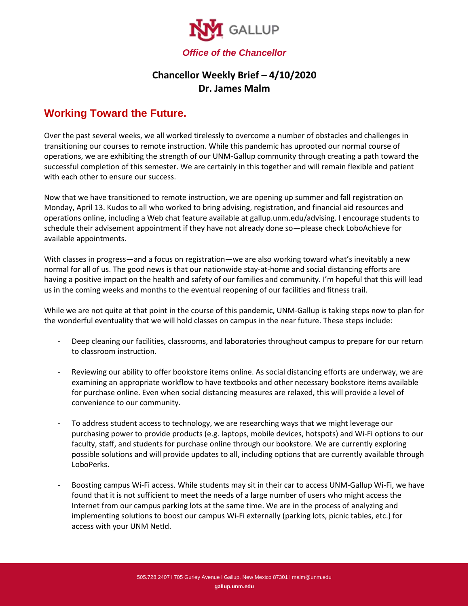

## **Chancellor Weekly Brief – 4/10/2020 Dr. James Malm**

## **Working Toward the Future.**

Over the past several weeks, we all worked tirelessly to overcome a number of obstacles and challenges in transitioning our courses to remote instruction. While this pandemic has uprooted our normal course of operations, we are exhibiting the strength of our UNM-Gallup community through creating a path toward the successful completion of this semester. We are certainly in this together and will remain flexible and patient with each other to ensure our success.

Now that we have transitioned to remote instruction, we are opening up summer and fall registration on Monday, April 13. Kudos to all who worked to bring advising, registration, and financial aid resources and operations online, including a Web chat feature available at gallup.unm.edu/advising. I encourage students to schedule their advisement appointment if they have not already done so—please check LoboAchieve for available appointments.

With classes in progress—and a focus on registration—we are also working toward what's inevitably a new normal for all of us. The good news is that our nationwide stay-at-home and social distancing efforts are having a positive impact on the health and safety of our families and community. I'm hopeful that this will lead us in the coming weeks and months to the eventual reopening of our facilities and fitness trail.

While we are not quite at that point in the course of this pandemic, UNM-Gallup is taking steps now to plan for the wonderful eventuality that we will hold classes on campus in the near future. These steps include:

- Deep cleaning our facilities, classrooms, and laboratories throughout campus to prepare for our return to classroom instruction.
- Reviewing our ability to offer bookstore items online. As social distancing efforts are underway, we are examining an appropriate workflow to have textbooks and other necessary bookstore items available for purchase online. Even when social distancing measures are relaxed, this will provide a level of convenience to our community.
- To address student access to technology, we are researching ways that we might leverage our purchasing power to provide products (e.g. laptops, mobile devices, hotspots) and Wi-Fi options to our faculty, staff, and students for purchase online through our bookstore. We are currently exploring possible solutions and will provide updates to all, including options that are currently available through LoboPerks.
- Boosting campus Wi-Fi access. While students may sit in their car to access UNM-Gallup Wi-Fi, we have found that it is not sufficient to meet the needs of a large number of users who might access the Internet from our campus parking lots at the same time. We are in the process of analyzing and implementing solutions to boost our campus Wi-Fi externally (parking lots, picnic tables, etc.) for access with your UNM NetId.